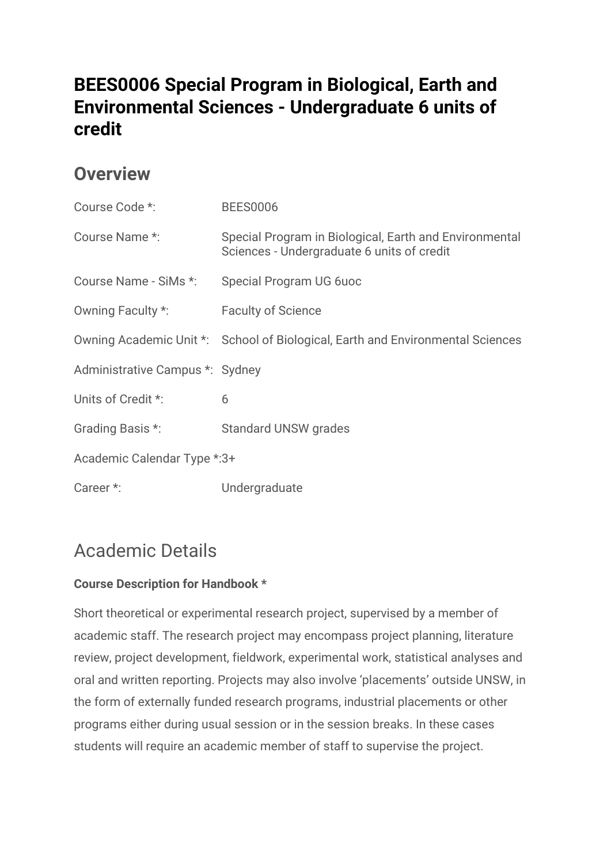## **BEES0006 Special Program in Biological, Earth and Environmental Sciences - Undergraduate 6 units of credit**

#### **Overview**

| Course Code *:                  | <b>BEES0006</b>                                                                                      |  |
|---------------------------------|------------------------------------------------------------------------------------------------------|--|
| Course Name *:                  | Special Program in Biological, Earth and Environmental<br>Sciences - Undergraduate 6 units of credit |  |
| Course Name - SiMs *:           | Special Program UG 6uoc                                                                              |  |
| Owning Faculty *:               | <b>Faculty of Science</b>                                                                            |  |
|                                 | Owning Academic Unit *: School of Biological, Earth and Environmental Sciences                       |  |
| Administrative Campus *: Sydney |                                                                                                      |  |
| Units of Credit *:              | 6                                                                                                    |  |
| Grading Basis *:                | <b>Standard UNSW grades</b>                                                                          |  |
| Academic Calendar Type *: 3+    |                                                                                                      |  |
| Career *:                       | Undergraduate                                                                                        |  |

# Academic Details

#### **Course Description for Handbook \***

Short theoretical or experimental research project, supervised by a member of academic staff. The research project may encompass project planning, literature review, project development, fieldwork, experimental work, statistical analyses and oral and written reporting. Projects may also involve 'placements' outside UNSW, in the form of externally funded research programs, industrial placements or other programs either during usual session or in the session breaks. In these cases students will require an academic member of staff to supervise the project.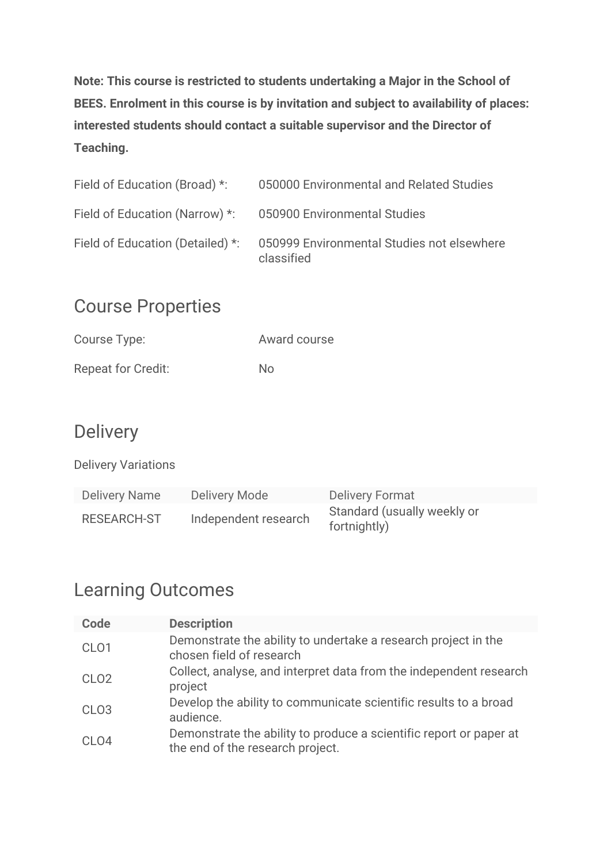**Note: This course is restricted to students undertaking a Major in the School of BEES. Enrolment in this course is by invitation and subject to availability of places: interested students should contact a suitable supervisor and the Director of Teaching.**

| Field of Education (Broad) *:    | 050000 Environmental and Related Studies                 |
|----------------------------------|----------------------------------------------------------|
| Field of Education (Narrow) *:   | 050900 Environmental Studies                             |
| Field of Education (Detailed) *: | 050999 Environmental Studies not elsewhere<br>classified |

#### Course Properties

| Course Type:              | Award course |
|---------------------------|--------------|
| <b>Repeat for Credit:</b> | Nο           |

### **Delivery**

Delivery Variations

| <b>Delivery Name</b> | Delivery Mode        | <b>Delivery Format</b>                      |
|----------------------|----------------------|---------------------------------------------|
| RESEARCH-ST          | Independent research | Standard (usually weekly or<br>fortnightly) |

#### Learning Outcomes

| Code              | <b>Description</b>                                                                                     |
|-------------------|--------------------------------------------------------------------------------------------------------|
| CL <sub>O</sub> 1 | Demonstrate the ability to undertake a research project in the<br>chosen field of research             |
| CLO <sub>2</sub>  | Collect, analyse, and interpret data from the independent research<br>project                          |
| CLO <sub>3</sub>  | Develop the ability to communicate scientific results to a broad<br>audience.                          |
| CL <sub>O</sub> 4 | Demonstrate the ability to produce a scientific report or paper at<br>the end of the research project. |